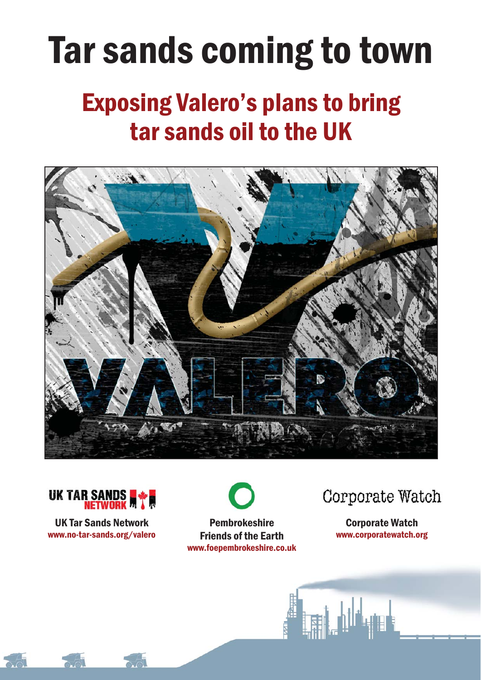# Tar sands coming to town

# Exposing Valero's plans to bring tar sands oil to the UK





UK Tar Sands Network www.no-tar-sands.org/valero



Pembrokeshire Friends of the Earth www.foepembrokeshire.co.uk Corporate Watch

Corporate Watch www.corporatewatch.org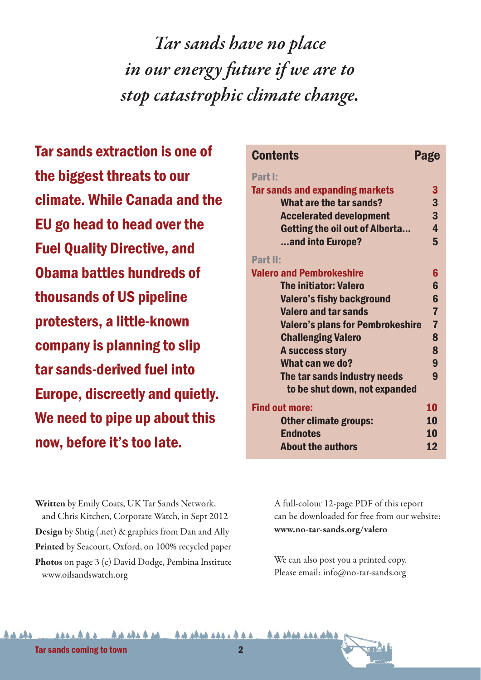*Tar sands have no place in our energy future if we are to stop catastrophic climate change.*

Tar sands extraction is one of the biggest threats to our climate. While Canada and the EU go head to head over the Fuel Quality Directive, and Obama battles hundreds of thousands of US pipeline protesters, a little-known company is planning to slip tar sands-derived fuel into Europe, discreetly and quietly. We need to pipe up about this now, before it's too late.

| <b>Contents</b>                         | Page                    |
|-----------------------------------------|-------------------------|
| Part I:                                 |                         |
| <b>Tar sands and expanding markets</b>  | 3                       |
| What are the tar sands?                 | 3                       |
| <b>Accelerated development</b>          | $\overline{\mathbf{3}}$ |
| <b>Getting the oil out of Alberta</b>   | $\overline{\mathbf{4}}$ |
| and into Europe?                        | 5                       |
| Part II:                                |                         |
| <b>Valero and Pembrokeshire</b>         | 6                       |
| <b>The initiator: Valero</b>            | 6                       |
| <b>Valero's fishy background</b>        | $6\phantom{1}$          |
| <b>Valero and tar sands</b>             | $\overline{7}$          |
| <b>Valero's plans for Pembrokeshire</b> | $\overline{7}$          |
| <b>Challenging Valero</b>               | 8                       |
| A success story                         | 8                       |
| What can we do?                         | 9                       |
| The tar sands industry needs            | 9                       |
| to be shut down, not expanded           |                         |
| <b>Find out more:</b>                   | 10                      |
| <b>Other climate groups:</b>            | 10                      |
| <b>Endnotes</b>                         | 10                      |
| <b>About the authors</b>                | 12                      |

**Written** by Emily Coats, UK Tar Sands Network, and Chris Kitchen, Corporate Watch, in Sept 2012 **Design** by Shtig (.net) & graphics from Dan and Ally **Printed** by Seacourt, Oxford, on 100% recycled paper **Photos** on page 3 (c) David Dodge, Pembina Institute www.oilsandswatch.org

A full-colour 12-page PDF of this report can be downloaded for free from our website: **www.no-tar-sands.org/valero**

We can also post you a printed copy. Please email: info@no-tar-sands.org

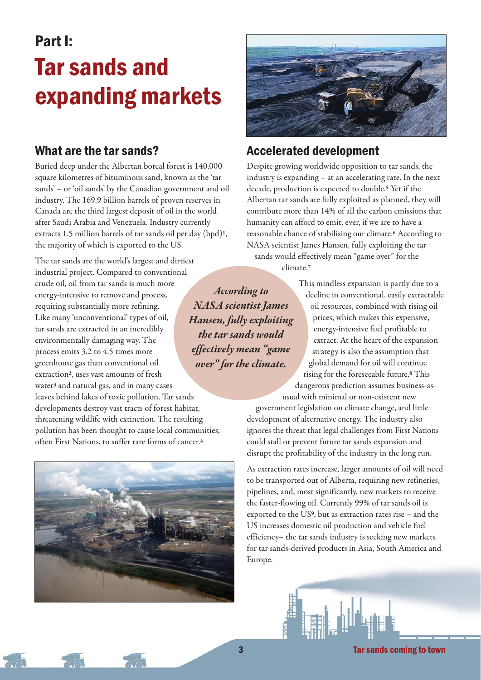# Part I: Tar sands and expanding markets

#### What are the tar sands?

Buried deep under the Albertan boreal forest is 140,000 square kilometres of bituminous sand, known as the 'tar sands' – or 'oil sands' by the Canadian government and oil industry. The 169.9 billion barrels of proven reserves in Canada are the third largest deposit of oil in the world after Saudi Arabia and Venezuela. Industry currently extracts 1.5 million barrels of tar sands oil per day (bpd)**1**, the majority of which is exported to the US.

The tar sands are the world's largest and dirtiest industrial project. Compared to conventional crude oil, oil from tar sands is much more energy-intensive to remove and process, requiring substantially more refining. Like many 'unconventional' types of oil, tar sands are extracted in an incredibly environmentally damaging way. The process emits 3.2 to 4.5 times more greenhouse gas than conventional oil extraction**2**, uses vast amounts of fresh water**<sup>3</sup>** and natural gas, and in many cases leaves behind lakes of toxic pollution. Tar sands developments destroy vast tracts of forest habitat, threatening wildlife with extinction. The resulting pollution has been thought to cause local communities, often First Nations, to suffer rare forms of cancer.**<sup>4</sup>**





#### Accelerated development

Despite growing worldwide opposition to tar sands, the industry is expanding – at an accelerating rate. In the next decade, production is expected to double.**<sup>5</sup>** Yet if the Albertan tar sands are fully exploited as planned, they will contribute more than 14% of all the carbon emissions that humanity can afford to emit, ever, if we are to have a reasonable chance of stabilising our climate.**<sup>6</sup>** According to NASA scientist James Hansen, fully exploiting the tar sands would effectively mean "game over" for the climate.**<sup>7</sup>**

*According to NASA scientist James Hansen, fully exploiting the tar sands would effectively mean "game over" for the climate.*

This mindless expansion is partly due to a decline in conventional, easily extractable oil resources, combined with rising oil prices, which makes this expensive, energy-intensive fuel profitable to extract. At the heart of the expansion strategy is also the assumption that global demand for oil will continue rising for the foreseeable future.**<sup>8</sup>** This dangerous prediction assumes business-asusual with minimal or non-existent new

government legislation on climate change, and little development of alternative energy. The industry also ignores the threat that legal challenges from First Nations could stall or prevent future tar sands expansion and disrupt the profitability of the industry in the long run.

As extraction rates increase, larger amounts of oil will need to be transported out of Alberta, requiring new refineries, pipelines, and, most significantly, new markets to receive the faster-flowing oil. Currently 99% of tar sands oil is exported to the US**9**, but as extraction rates rise – and the US increases domestic oil production and vehicle fuel efficiency– the tar sands industry is seeking new markets for tar sands-derived products in Asia, South America and Europe.

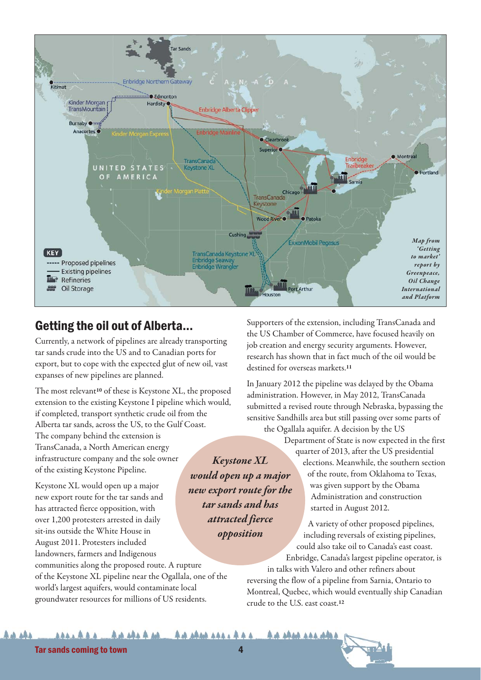

#### Getting the oil out of Alberta...

Currently, a network of pipelines are already transporting tar sands crude into the US and to Canadian ports for export, but to cope with the expected glut of new oil, vast expanses of new pipelines are planned.

The most relevant**<sup>10</sup>** of these is Keystone XL, the proposed extension to the existing Keystone I pipeline which would, if completed, transport synthetic crude oil from the Alberta tar sands, across the US, to the Gulf Coast.

The company behind the extension is TransCanada, a North American energy infrastructure company and the sole owner of the existing Keystone Pipeline.

Keystone XL would open up a major new export route for the tar sands and has attracted fierce opposition, with over 1,200 protesters arrested in daily sit-ins outside the White House in August 2011. Protesters included landowners, farmers and Indigenous

communities along the proposed route. A rupture of the Keystone XL pipeline near the Ogallala, one of the world's largest aquifers, would contaminate local groundwater resources for millions of US residents.

Supporters of the extension, including TransCanada and the US Chamber of Commerce, have focused heavily on job creation and energy security arguments. However, research has shown that in fact much of the oil would be destined for overseas markets.**<sup>11</sup>**

In January 2012 the pipeline was delayed by the Obama administration. However, in May 2012, TransCanada submitted a revised route through Nebraska, bypassing the sensitive Sandhills area but still passing over some parts of the Ogallala aquifer. A decision by the US

Department of State is now expected in the first quarter of 2013, after the US presidential elections. Meanwhile, the southern section of the route, from Oklahoma to Texas, was given support by the Obama Administration and construction started in August 2012. *would open up a major new export route for the*

> A variety of other proposed pipelines, including reversals of existing pipelines, could also take oil to Canada's east coast. Enbridge, Canada's largest pipeline operator, is in talks with Valero and other refiners about

reversing the flow of a pipeline from Sarnia, Ontario to Montreal, Quebec, which would eventually ship Canadian crude to the U.S. east coast.**<sup>12</sup>**

#### **44 444 444 444 AAAAAA 44 ARAA 444 4 4 4**

*Keystone XL*

*tar sands and has attracted fierce opposition*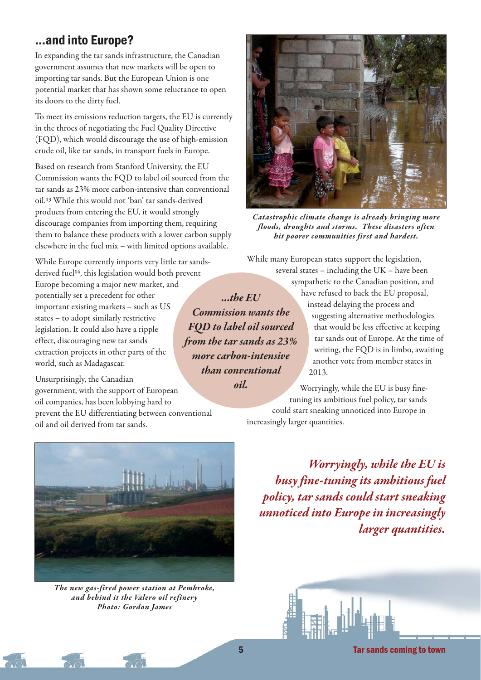### ...and into Europe?

In expanding the tar sands infrastructure, the Canadian government assumes that new markets will be open to importing tar sands. But the European Union is one potential market that has shown some reluctance to open its doors to the dirty fuel.

To meet its emissions reduction targets, the EU is currently in the throes of negotiating the Fuel Quality Directive (FQD), which would discourage the use of high-emission crude oil, like tar sands, in transport fuels in Europe.

Based on research from Stanford University, the EU Commission wants the FQD to label oil sourced from the tar sands as 23% more carbon-intensive than conventional oil.**<sup>13</sup>** While this would not 'ban' tar sands-derived products from entering the EU, it would strongly discourage companies from importing them, requiring them to balance these products with a lower carbon supply elsewhere in the fuel mix – with limited options available.

While Europe currently imports very little tar sandsderived fuel**14**, this legislation would both prevent Europe becoming a major new market, and potentially set a precedent for other important existing markets – such as US states – to adopt similarly restrictive legislation. It could also have a ripple effect, discouraging new tar sands extraction projects in other parts of the world, such as Madagascar.

Unsurprisingly, the Canadian government, with the support of European oil companies, has been lobbying hard to prevent the EU differentiating between conventional oil and oil derived from tar sands.



*The new gas-fired power station at Pembroke, and behind it the Valero oil refinery Photo: Gordon James* 



*Catastrophic climate change is already bringing more floods, droughts and storms. These disasters often hit poorer communities first and hardest.*

While many European states support the legislation,

several states – including the UK – have been sympathetic to the Canadian position, and have refused to back the EU proposal, instead delaying the process and suggesting alternative methodologies that would be less effective at keeping tar sands out of Europe. At the time of writing, the FQD is in limbo, awaiting another vote from member states in 2013.

Worryingly, while the EU is busy finetuning its ambitious fuel policy, tar sands could start sneaking unnoticed into Europe in

increasingly larger quantities.

*Worryingly, while the EU is busy fine-tuning its ambitious fuel policy, tar sands could start sneaking unnoticed into Europe in increasingly larger quantities.*



5 Tar sands coming to town

*...the EU Commission wants the FQD to label oil sourced from the tar sands as 23% more carbon-intensive than conventional oil.*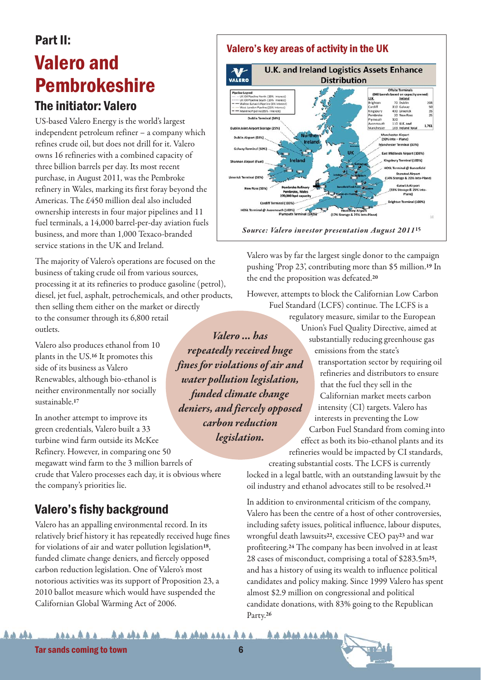# Part II: Valero and Pembrokeshire

#### The initiator: Valero

US-based Valero Energy is the world's largest independent petroleum refiner – a company which refines crude oil, but does not drill for it. Valero owns 16 refineries with a combined capacity of three billion barrels per day. Its most recent purchase, in August 2011, was the Pembroke refinery in Wales, marking its first foray beyond the Americas. The £450 million deal also included ownership interests in four major pipelines and 11 fuel terminals, a 14,000 barrel-per-day aviation fuels business, and more than 1,000 Texaco-branded service stations in the UK and Ireland.

The majority of Valero's operations are focused on the business of taking crude oil from various sources, processing it at its refineries to produce gasoline (petrol), diesel, jet fuel, asphalt, petrochemicals, and other products, then selling them either on the market or directly to the consumer through its 6,800 retail outlets. *Valero ... has*

Valero also produces ethanol from 10 plants in the US.**<sup>16</sup>** It promotes this side of its business as Valero Renewables, although bio-ethanol is neither environmentally nor socially sustainable.**<sup>17</sup>**

In another attempt to improve its green credentials, Valero built a 33 turbine wind farm outside its McKee Refinery. However, in comparing one 50 megawatt wind farm to the 3 million barrels of *deniers, and fiercely opposed*

crude that Valero processes each day, it is obvious where the company's priorities lie.

### Valero's fishy background

Valero has an appalling environmental record. In its relatively brief history it has repeatedly received huge fines for violations of air and water pollution legislation**18**, funded climate change deniers, and fiercely opposed carbon reduction legislation. One of Valero's most notorious activities was its support of Proposition 23, a 2010 ballot measure which would have suspended the Californian Global Warming Act of 2006.

#### Valero's key areas of activity in the UK



Valero was by far the largest single donor to the campaign pushing 'Prop 23', contributing more than \$5 million.**<sup>19</sup>** In the end the proposition was defeated.**<sup>20</sup>**

However, attempts to block the Californian Low Carbon Fuel Standard (LCFS) continue. The LCFS is a

regulatory measure, similar to the European Union's Fuel Quality Directive, aimed at substantially reducing greenhouse gas emissions from the state's

> transportation sector by requiring oil refineries and distributors to ensure that the fuel they sell in the Californian market meets carbon intensity (CI) targets. Valero has interests in preventing the Low

Carbon Fuel Standard from coming into effect as both its bio-ethanol plants and its refineries would be impacted by CI standards,

creating substantial costs. The LCFS is currently locked in a legal battle, with an outstanding lawsuit by the oil industry and ethanol advocates still to be resolved.**<sup>21</sup>**

In addition to environmental criticism of the company, Valero has been the centre of a host of other controversies, including safety issues, political influence, labour disputes, wrongful death lawsuits**22**, excessive CEO pay**<sup>23</sup>** and war profiteering.**<sup>24</sup>** The company has been involved in at least 28 cases of misconduct, comprising a total of \$283.5m**25**, and has a history of using its wealth to influence political candidates and policy making. Since 1999 Valero has spent almost \$2.9 million on congressional and political candidate donations, with 83% going to the Republican Party.**<sup>26</sup>**



*repeatedly received huge fines for violations of air and water pollution legislation, funded climate change*

> *carbon reduction legislation.*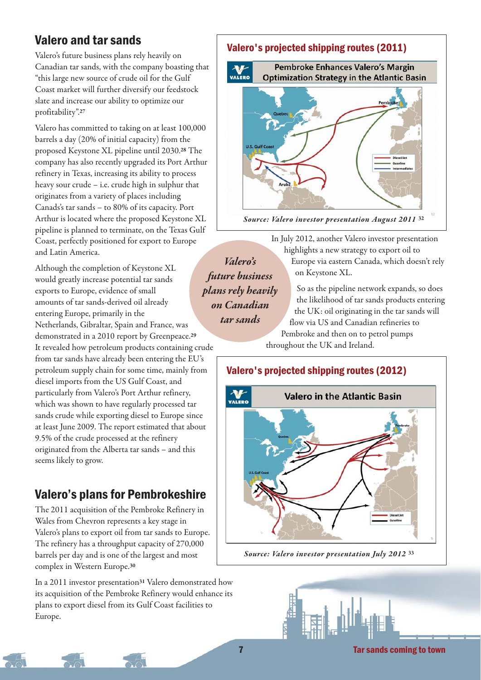## Valero and tar sands

Valero's future business plans rely heavily on Canadian tar sands, with the company boasting that "this large new source of crude oil for the Gulf Coast market will further diversify our feedstock slate and increase our ability to optimize our profitability".**<sup>27</sup>**

Valero has committed to taking on at least 100,000 barrels a day (20% of initial capacity) from the proposed Keystone XL pipeline until 2030.**<sup>28</sup>** The company has also recently upgraded its Port Arthur refinery in Texas, increasing its ability to process heavy sour crude – i.e. crude high in sulphur that originates from a variety of places including Canads's tar sands – to 80% of its capacity. Port Arthur is located where the proposed Keystone XL pipeline is planned to terminate, on the Texas Gulf Coast, perfectly positioned for export to Europe and Latin America.

Although the completion of Keystone XL would greatly increase potential tar sands exports to Europe, evidence of small amounts of tar sands-derived oil already entering Europe, primarily in the Netherlands, Gibraltar, Spain and France, was demonstrated in a 2010 report by Greenpeace.**<sup>29</sup>** It revealed how petroleum products containing crude from tar sands have already been entering the EU's petroleum supply chain for some time, mainly from diesel imports from the US Gulf Coast, and particularly from Valero's Port Arthur refinery, which was shown to have regularly processed tar sands crude while exporting diesel to Europe since at least June 2009. The report estimated that about 9.5% of the crude processed at the refinery originated from the Alberta tar sands – and this seems likely to grow.

### Valero's plans for Pembrokeshire

The 2011 acquisition of the Pembroke Refinery in Wales from Chevron represents a key stage in Valero's plans to export oil from tar sands to Europe. The refinery has a throughput capacity of 270,000 barrels per day and is one of the largest and most complex in Western Europe.**<sup>30</sup>**

In a 2011 investor presentation**<sup>31</sup>** Valero demonstrated how its acquisition of the Pembroke Refinery would enhance its plans to export diesel from its Gulf Coast facilities to Europe.

# Valero's projected shipping routes (2011) **Pembroke Enhances Valero's Margin** VALERO **Optimization Strategy in the Atlantic Basin**



In July 2012, another Valero investor presentation highlights a new strategy to export oil to Europe via eastern Canada, which doesn't rely on Keystone XL.

*future business plans rely heavily on Canadian tar sands*

*Valero's* 

**U.S. Gulf Coas** 

So as the pipeline network expands, so does the likelihood of tar sands products entering the UK: oil originating in the tar sands will flow via US and Canadian refineries to Pembroke and then on to petrol pumps throughout the UK and Ireland.

Valero's projected shipping routes (2012)



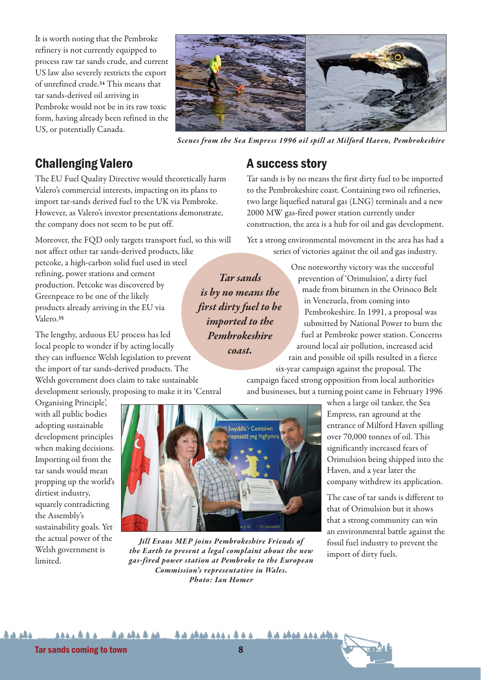It is worth noting that the Pembroke refinery is not currently equipped to process raw tar sands crude, and current US law also severely restricts the export of unrefined crude.**<sup>34</sup>** This means that tar sands-derived oil arriving in Pembroke would not be in its raw toxic form, having already been refined in the US, or potentially Canada.



*Scenes from the Sea Empress 1996 oil spill at Milford Haven, Pembrokeshire*

#### Challenging Valero

The EU Fuel Quality Directive would theoretically harm Valero's commercial interests, impacting on its plans to import tar-sands derived fuel to the UK via Pembroke. However, as Valero's investor presentations demonstrate, the company does not seem to be put off.

Moreover, the FQD only targets transport fuel, so this will not affect other tar sands-derived products, like

petcoke, a high-carbon solid fuel used in steel refining, power stations and cement production. Petcoke was discovered by Greenpeace to be one of the likely products already arriving in the EU via Valero.**<sup>35</sup>**

The lengthy, arduous EU process has led local people to wonder if by acting locally they can influence Welsh legislation to prevent the import of tar sands-derived products. The Welsh government does claim to take sustainable development seriously, proposing to make it its 'Central

Organising Principle', with all public bodies adopting sustainable development principles when making decisions. Importing oil from the tar sands would mean propping up the world's dirtiest industry, squarely contradicting the Assembly's sustainability goals. Yet the actual power of the Welsh government is limited.



*Jill Evans MEP joins Pembrokeshire Friends of the Earth to present a legal complaint about the new gas-fired power station at Pembroke to the European Commission's representative in Wales. Photo: Ian Homer* 

AAA444 AA 44A444444444

#### A success story

Tar sands is by no means the first dirty fuel to be imported to the Pembrokeshire coast. Containing two oil refineries, two large liquefied natural gas (LNG) terminals and a new 2000 MW gas-fired power station currently under construction, the area is a hub for oil and gas development.

Yet a strong environmental movement in the area has had a series of victories against the oil and gas industry.

*Tar sands is by no means the first dirty fuel to be imported to the Pembrokeshire coast.*

One noteworthy victory was the successful prevention of 'Orimulsion', a dirty fuel made from bitumen in the Orinoco Belt in Venezuela, from coming into Pembrokeshire. In 1991, a proposal was submitted by National Power to burn the fuel at Pembroke power station. Concerns around local air pollution, increased acid rain and possible oil spills resulted in a fierce

six-year campaign against the proposal. The campaign faced strong opposition from local authorities and businesses, but a turning point came in February 1996

> when a large oil tanker, the Sea Empress, ran aground at the entrance of Milford Haven spilling over 70,000 tonnes of oil. This significantly increased fears of Orimulsion being shipped into the Haven, and a year later the company withdrew its application.

> The case of tar sands is different to that of Orimulsion but it shows that a strong community can win an environmental battle against the fossil fuel industry to prevent the import of dirty fuels.

Tar sands coming to town **8** and 8

**44 444 444 444**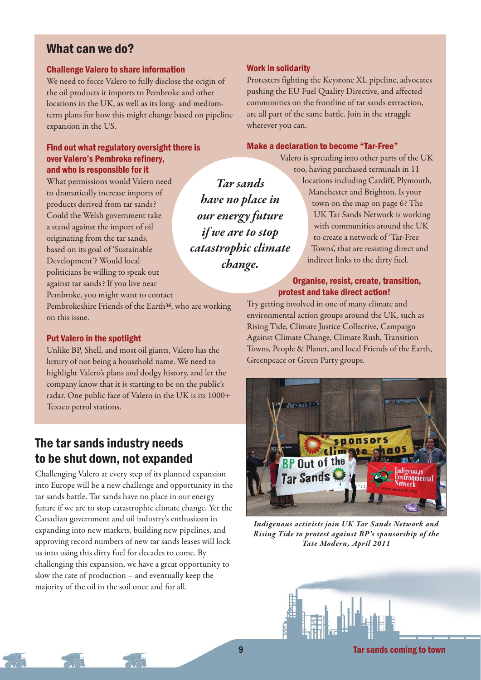#### What can we do?

#### Challenge Valero to share information

We need to force Valero to fully disclose the origin of the oil products it imports to Pembroke and other locations in the UK, as well as its long- and mediumterm plans for how this might change based on pipeline expansion in the US.

#### Find out what regulatory oversight there is over Valero's Pembroke refinery, and who is responsible for it

What permissions would Valero need to dramatically increase imports of products derived from tar sands? Could the Welsh government take a stand against the import of oil originating from the tar sands, based on its goal of 'Sustainable Development'? Would local politicians be willing to speak out against tar sands? If you live near Pembroke, you might want to contact

Pembrokeshire Friends of the Earth**36**, who are working on this issue.

#### Put Valero in the spotlight

Unlike BP, Shell, and most oil giants, Valero has the luxury of not being a household name. We need to highlight Valero's plans and dodgy history, and let the company know that it is starting to be on the public's radar. One public face of Valero in the UK is its 1000+ Texaco petrol stations.

#### The tar sands industry needs to be shut down, not expanded

Challenging Valero at every step of its planned expansion into Europe will be a new challenge and opportunity in the tar sands battle. Tar sands have no place in our energy future if we are to stop catastrophic climate change. Yet the Canadian government and oil industry's enthusiasm in expanding into new markets, building new pipelines, and approving record numbers of new tar sands leases will lock us into using this dirty fuel for decades to come. By challenging this expansion, we have a great opportunity to slow the rate of production – and eventually keep the majority of the oil in the soil once and for all.

#### Work in solidarity

Protesters fighting the Keystone XL pipeline, advocates pushing the EU Fuel Quality Directive, and affected communities on the frontline of tar sands extraction, are all part of the same battle. Join in the struggle wherever you can.

#### Make a declaration to become "Tar-Free"

Valero is spreading into other parts of the UK too, having purchased terminals in 11

*Tar sands have no place in our energy future if we are to stop catastrophic climate change.* 

locations including Cardiff, Plymouth, Manchester and Brighton. Is your town on the map on page 6? The UK Tar Sands Network is working with communities around the UK to create a network of 'Tar-Free Towns', that are resisting direct and indirect links to the dirty fuel.

#### Organise, resist, create, transition, protest and take direct action!

Try getting involved in one of many climate and environmental action groups around the UK, such as Rising Tide, Climate Justice Collective, Campaign Against Climate Change, Climate Rush, Transition Towns, People & Planet, and local Friends of the Earth, Greenpeace or Green Party groups.



*Indigenous activists join UK Tar Sands Network and Rising Tide to protest against BP's sponsorship of the Tate Modern, April 2011*

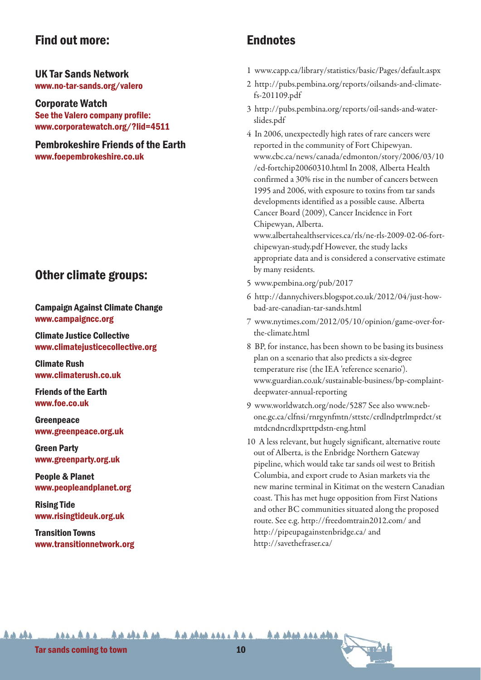#### Find out more:

UK Tar Sands Network www.no-tar-sands.org/valero

Corporate Watch See the Valero company profile: www.corporatewatch.org/?lid=4511

Pembrokeshire Friends of the Earth www.foepembrokeshire.co.uk

#### Other climate groups:

Campaign Against Climate Change www.campaigncc.org

Climate Justice Collective www.climatejusticecollective.org

Climate Rush www.climaterush.co.uk

Friends of the Earth www.foe.co.uk

**Greenpeace** www.greenpeace.org.uk

Green Party www.greenparty.org.uk

People & Planet www.peopleandplanet.org

Rising Tide www.risingtideuk.org.uk

Transition Towns www.transitionnetwork.org

### **Endnotes**

- 1 www.capp.ca/library/statistics/basic/Pages/default.aspx
- 2 http://pubs.pembina.org/reports/oilsands-and-climatefs-201109.pdf
- 3 http://pubs.pembina.org/reports/oil-sands-and-waterslides.pdf
- 4 In 2006, unexpectedly high rates of rare cancers were reported in the community of Fort Chipewyan. www.cbc.ca/news/canada/edmonton/story/2006/03/10 /ed-fortchip20060310.html In 2008, Alberta Health confirmed a 30% rise in the number of cancers between 1995 and 2006, with exposure to toxins from tar sands developments identified as a possible cause. Alberta Cancer Board (2009), Cancer Incidence in Fort Chipewyan, Alberta.

www.albertahealthservices.ca/rls/ne-rls-2009-02-06-fortchipewyan-study.pdf However, the study lacks appropriate data and is considered a conservative estimate by many residents.

- 5 www.pembina.org/pub/2017
- 6 http://dannychivers.blogspot.co.uk/2012/04/just-howbad-are-canadian-tar-sands.html
- 7 www.nytimes.com/2012/05/10/opinion/game-over-forthe-climate.html
- 8 BP, for instance, has been shown to be basing its business plan on a scenario that also predicts a six-degree temperature rise (the IEA 'reference scenario'). www.guardian.co.uk/sustainable-business/bp-complaintdeepwater-annual-reporting
- 9 www.worldwatch.org/node/5287 See also www.nebone.gc.ca/clfnsi/rnrgynfmtn/sttstc/crdlndptrlmprdct/st mtdcndncrdlxprttpdstn-eng.html
- 10 A less relevant, but hugely significant, alternative route out of Alberta, is the Enbridge Northern Gateway pipeline, which would take tar sands oil west to British Columbia, and export crude to Asian markets via the new marine terminal in Kitimat on the western Canadian coast. This has met huge opposition from First Nations and other BC communities situated along the proposed route. See e.g. http://freedomtrain2012.com/ and http://pipeupagainstenbridge.ca/ and http://savethefraser.ca/

An sha sas and what

Tar sands coming to town 10 and 10 and 10 and 10 and 10 and 10 and 10 and 10 and 10 and 10 and 10 and 10 and 10

**AAAAAAA** 

**AA 484** 

 $A + A$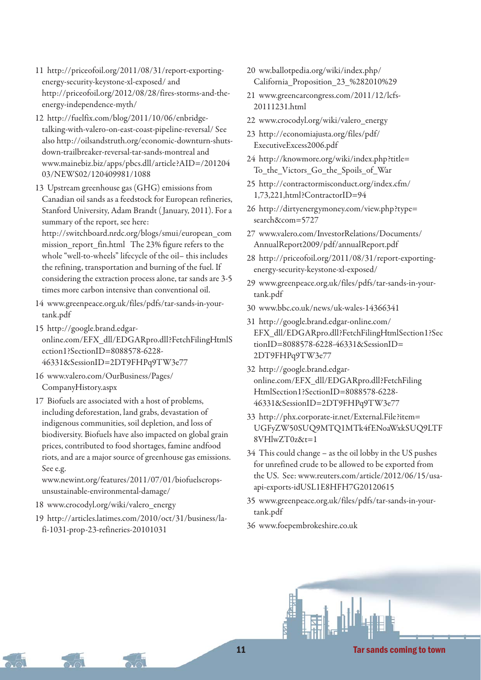- 11 http://priceofoil.org/2011/08/31/report-exportingenergy-security-keystone-xl-exposed/ and http://priceofoil.org/2012/08/28/fires-storms-and-theenergy-independence-myth/
- 12 http://fuelfix.com/blog/2011/10/06/enbridgetalking-with-valero-on-east-coast-pipeline-reversal/ See also http://oilsandstruth.org/economic-downturn-shutsdown-trailbreaker-reversal-tar-sands-montreal and www.mainebiz.biz/apps/pbcs.dll/article?AID=/201204 03/NEWS02/120409981/1088
- 13 Upstream greenhouse gas (GHG) emissions from Canadian oil sands as a feedstock for European refineries, Stanford University, Adam Brandt ( January, 2011). For a summary of the report, see here: http://switchboard.nrdc.org/blogs/smui/european\_com

mission\_report\_fin.html The 23% figure refers to the whole "well-to-wheels" lifecycle of the oil– this includes the refining, transportation and burning of the fuel. If considering the extraction process alone, tar sands are 3-5 times more carbon intensive than conventional oil.

- 14 www.greenpeace.org.uk/files/pdfs/tar-sands-in-yourtank.pdf
- 15 http://google.brand.edgaronline.com/EFX\_dll/EDGARpro.dll?FetchFilingHtmlS ection1?SectionID=8088578-6228- 46331&SessionID=2DT9FHPq9TW3e77
- 16 www.valero.com/OurBusiness/Pages/ CompanyHistory.aspx
- 17 Biofuels are associated with a host of problems, including deforestation, land grabs, devastation of indigenous communities, soil depletion, and loss of biodiversity. Biofuels have also impacted on global grain prices, contributed to food shortages, famine andfood riots, and are a major source of greenhouse gas emissions. See e.g.

www.newint.org/features/2011/07/01/biofuelscropsunsustainable-environmental-damage/

18 www.crocodyl.org/wiki/valero\_energy

19 http://articles.latimes.com/2010/oct/31/business/lafi-1031-prop-23-refineries-20101031

- 20 ww.ballotpedia.org/wiki/index.php/ California\_Proposition\_23\_%282010%29
- 21 www.greencarcongress.com/2011/12/lcfs-20111231.html
- 22 www.crocodyl.org/wiki/valero\_energy
- 23 http://economiajusta.org/files/pdf/ ExecutiveExcess2006.pdf
- 24 http://knowmore.org/wiki/index.php?title= To\_the\_Victors\_Go\_the\_Spoils\_of\_War
- 25 http://contractormisconduct.org/index.cfm/ 1,73,221,html?ContractorID=94
- 26 http://dirtyenergymoney.com/view.php?type= search&com=5727
- 27 www.valero.com/InvestorRelations/Documents/ AnnualReport2009/pdf/annualReport.pdf
- 28 http://priceofoil.org/2011/08/31/report-exportingenergy-security-keystone-xl-exposed/
- 29 www.greenpeace.org.uk/files/pdfs/tar-sands-in-yourtank.pdf
- 30 www.bbc.co.uk/news/uk-wales-14366341
- 31 http://google.brand.edgar-online.com/ EFX\_dll/EDGARpro.dll?FetchFilingHtmlSection1?Sec tionID=8088578-6228-46331&SessionID= 2DT9FHPq9TW3e77
- 32 http://google.brand.edgaronline.com/EFX\_dll/EDGARpro.dll?FetchFiling HtmlSection1?SectionID=8088578-6228- 46331&SessionID=2DT9FHPq9TW3e77
- 33 http://phx.corporate-ir.net/External.File?item= UGFyZW50SUQ9MTQ1MTk4fENoaWxkSUQ9LTF 8VHlwZT0z&t=1
- 34 This could change as the oil lobby in the US pushes for unrefined crude to be allowed to be exported from the US. See: www.reuters.com/article/2012/06/15/usaapi-exports-idUSL1E8HFH7G20120615
- 35 www.greenpeace.org.uk/files/pdfs/tar-sands-in-yourtank.pdf
- 36 www.foepembrokeshire.co.uk